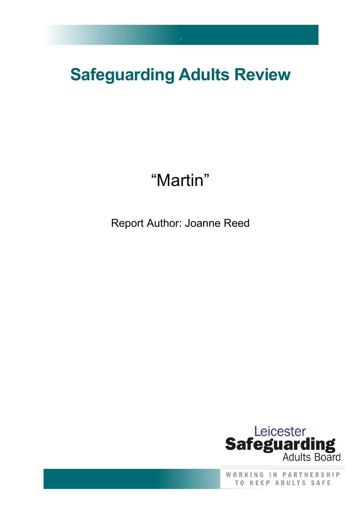## **Safeguarding Adults Review**

`

# "Martin"

Report Author: Joanne Reed



WORKING IN PARTNERSHIP **TO KEEP ADULTS SAFE**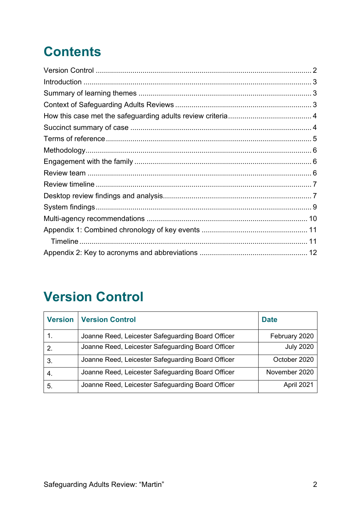## **Contents**

### <span id="page-1-0"></span>**Version Control**

| <b>Version</b> | <b>Version Control</b>                            | <b>Date</b>      |
|----------------|---------------------------------------------------|------------------|
|                | Joanne Reed, Leicester Safeguarding Board Officer | February 2020    |
| 2.             | Joanne Reed, Leicester Safeguarding Board Officer | <b>July 2020</b> |
| 3.             | Joanne Reed, Leicester Safeguarding Board Officer | October 2020     |
| -4.            | Joanne Reed, Leicester Safeguarding Board Officer | November 2020    |
| 5.             | Joanne Reed, Leicester Safeguarding Board Officer | April 2021       |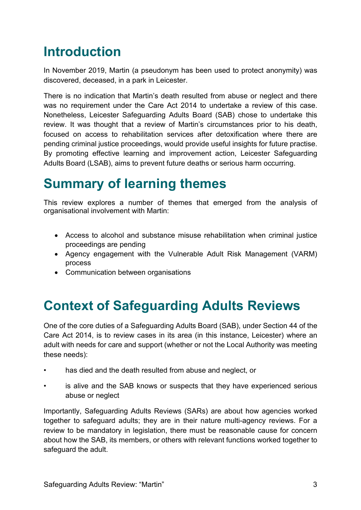### <span id="page-2-0"></span>**Introduction**

In November 2019, Martin (a pseudonym has been used to protect anonymity) was discovered, deceased, in a park in Leicester.

There is no indication that Martin's death resulted from abuse or neglect and there was no requirement under the Care Act 2014 to undertake a review of this case. Nonetheless, Leicester Safeguarding Adults Board (SAB) chose to undertake this review. It was thought that a review of Martin's circumstances prior to his death, focused on access to rehabilitation services after detoxification where there are pending criminal justice proceedings, would provide useful insights for future practise. By promoting effective learning and improvement action, Leicester Safeguarding Adults Board (LSAB), aims to prevent future deaths or serious harm occurring.

#### <span id="page-2-1"></span>**Summary of learning themes**

This review explores a number of themes that emerged from the analysis of organisational involvement with Martin:

- Access to alcohol and substance misuse rehabilitation when criminal justice proceedings are pending
- Agency engagement with the Vulnerable Adult Risk Management (VARM) process
- Communication between organisations

### <span id="page-2-2"></span>**Context of Safeguarding Adults Reviews**

One of the core duties of a Safeguarding Adults Board (SAB), under Section 44 of the Care Act 2014, is to review cases in its area (in this instance, Leicester) where an adult with needs for care and support (whether or not the Local Authority was meeting these needs):

- has died and the death resulted from abuse and neglect, or
- is alive and the SAB knows or suspects that they have experienced serious abuse or neglect

Importantly, Safeguarding Adults Reviews (SARs) are about how agencies worked together to safeguard adults; they are in their nature multi-agency reviews. For a review to be mandatory in legislation, there must be reasonable cause for concern about how the SAB, its members, or others with relevant functions worked together to safeguard the adult.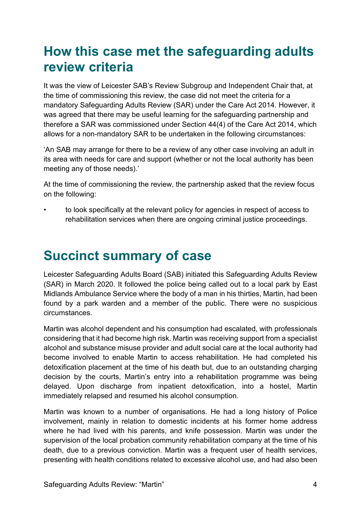#### <span id="page-3-0"></span>**How this case met the safeguarding adults review criteria**

It was the view of Leicester SAB's Review Subgroup and Independent Chair that, at the time of commissioning this review, the case did not meet the criteria for a mandatory Safeguarding Adults Review (SAR) under the Care Act 2014. However, it was agreed that there may be useful learning for the safeguarding partnership and therefore a SAR was commissioned under Section 44(4) of the Care Act 2014, which allows for a non-mandatory SAR to be undertaken in the following circumstances:

'An SAB may arrange for there to be a review of any other case involving an adult in its area with needs for care and support (whether or not the local authority has been meeting any of those needs).'

At the time of commissioning the review, the partnership asked that the review focus on the following:

• to look specifically at the relevant policy for agencies in respect of access to rehabilitation services when there are ongoing criminal justice proceedings.

## <span id="page-3-1"></span>**Succinct summary of case**

Leicester Safeguarding Adults Board (SAB) initiated this Safeguarding Adults Review (SAR) in March 2020. It followed the police being called out to a local park by East Midlands Ambulance Service where the body of a man in his thirties, Martin, had been found by a park warden and a member of the public. There were no suspicious circumstances.

Martin was alcohol dependent and his consumption had escalated, with professionals considering that it had become high risk. Martin was receiving support from a specialist alcohol and substance misuse provider and adult social care at the local authority had become involved to enable Martin to access rehabilitation. He had completed his detoxification placement at the time of his death but, due to an outstanding charging decision by the courts, Martin's entry into a rehabilitation programme was being delayed. Upon discharge from inpatient detoxification, into a hostel, Martin immediately relapsed and resumed his alcohol consumption.

Martin was known to a number of organisations. He had a long history of Police involvement, mainly in relation to domestic incidents at his former home address where he had lived with his parents, and knife possession. Martin was under the supervision of the local probation community rehabilitation company at the time of his death, due to a previous conviction. Martin was a frequent user of health services, presenting with health conditions related to excessive alcohol use, and had also been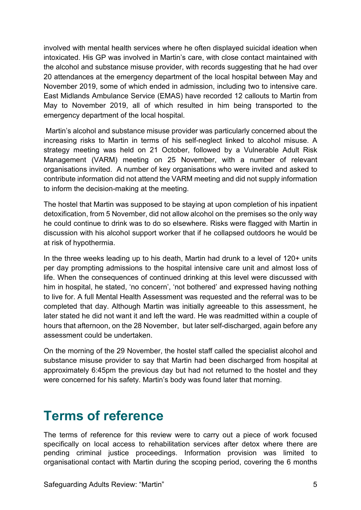involved with mental health services where he often displayed suicidal ideation when intoxicated. His GP was involved in Martin's care, with close contact maintained with the alcohol and substance misuse provider, with records suggesting that he had over 20 attendances at the emergency department of the local hospital between May and November 2019, some of which ended in admission, including two to intensive care. East Midlands Ambulance Service (EMAS) have recorded 12 callouts to Martin from May to November 2019, all of which resulted in him being transported to the emergency department of the local hospital.

Martin's alcohol and substance misuse provider was particularly concerned about the increasing risks to Martin in terms of his self-neglect linked to alcohol misuse. A strategy meeting was held on 21 October, followed by a Vulnerable Adult Risk Management (VARM) meeting on 25 November, with a number of relevant organisations invited. A number of key organisations who were invited and asked to contribute information did not attend the VARM meeting and did not supply information to inform the decision-making at the meeting.

The hostel that Martin was supposed to be staying at upon completion of his inpatient detoxification, from 5 November, did not allow alcohol on the premises so the only way he could continue to drink was to do so elsewhere. Risks were flagged with Martin in discussion with his alcohol support worker that if he collapsed outdoors he would be at risk of hypothermia.

In the three weeks leading up to his death, Martin had drunk to a level of 120+ units per day prompting admissions to the hospital intensive care unit and almost loss of life. When the consequences of continued drinking at this level were discussed with him in hospital, he stated, 'no concern', 'not bothered' and expressed having nothing to live for. A full Mental Health Assessment was requested and the referral was to be completed that day. Although Martin was initially agreeable to this assessment, he later stated he did not want it and left the ward. He was readmitted within a couple of hours that afternoon, on the 28 November, but later self-discharged, again before any assessment could be undertaken.

On the morning of the 29 November, the hostel staff called the specialist alcohol and substance misuse provider to say that Martin had been discharged from hospital at approximately 6:45pm the previous day but had not returned to the hostel and they were concerned for his safety. Martin's body was found later that morning.

#### <span id="page-4-0"></span>**Terms of reference**

The terms of reference for this review were to carry out a piece of work focused specifically on local access to rehabilitation services after detox where there are pending criminal justice proceedings. Information provision was limited to organisational contact with Martin during the scoping period, covering the 6 months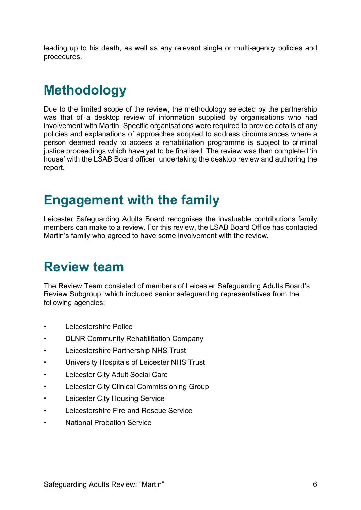leading up to his death, as well as any relevant single or multi-agency policies and procedures.

### <span id="page-5-0"></span>**Methodology**

Due to the limited scope of the review, the methodology selected by the partnership was that of a desktop review of information supplied by organisations who had involvement with Martin. Specific organisations were required to provide details of any policies and explanations of approaches adopted to address circumstances where a person deemed ready to access a rehabilitation programme is subject to criminal justice proceedings which have yet to be finalised. The review was then completed 'in house' with the LSAB Board officer undertaking the desktop review and authoring the report.

#### <span id="page-5-1"></span>**Engagement with the family**

Leicester Safeguarding Adults Board recognises the invaluable contributions family members can make to a review. For this review, the LSAB Board Office has contacted Martin's family who agreed to have some involvement with the review.

#### <span id="page-5-2"></span>**Review team**

The Review Team consisted of members of Leicester Safeguarding Adults Board's Review Subgroup, which included senior safeguarding representatives from the following agencies:

- Leicestershire Police
- DLNR Community Rehabilitation Company
- Leicestershire Partnership NHS Trust
- University Hospitals of Leicester NHS Trust
- Leicester City Adult Social Care
- Leicester City Clinical Commissioning Group
- Leicester City Housing Service
- Leicestershire Fire and Rescue Service
- National Probation Service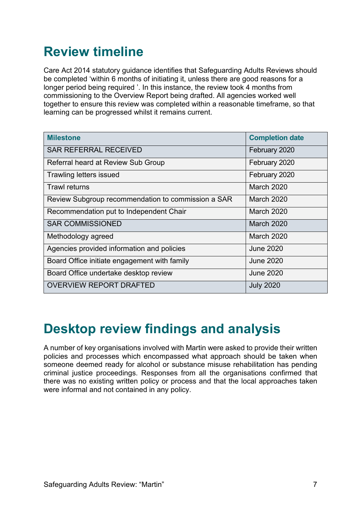### <span id="page-6-0"></span>**Review timeline**

Care Act 2014 statutory guidance identifies that Safeguarding Adults Reviews should be completed 'within 6 months of initiating it, unless there are good reasons for a longer period being required '. In this instance, the review took 4 months from commissioning to the Overview Report being drafted. All agencies worked well together to ensure this review was completed within a reasonable timeframe, so that learning can be progressed whilst it remains current.

| <b>Milestone</b>                                   | <b>Completion date</b> |
|----------------------------------------------------|------------------------|
| <b>SAR REFERRAL RECEIVED</b>                       | February 2020          |
| Referral heard at Review Sub Group                 | February 2020          |
| Trawling letters issued                            | February 2020          |
| <b>Trawl returns</b>                               | <b>March 2020</b>      |
| Review Subgroup recommendation to commission a SAR | <b>March 2020</b>      |
| Recommendation put to Independent Chair            | <b>March 2020</b>      |
| <b>SAR COMMISSIONED</b>                            | <b>March 2020</b>      |
| Methodology agreed                                 | <b>March 2020</b>      |
| Agencies provided information and policies         | <b>June 2020</b>       |
| Board Office initiate engagement with family       | <b>June 2020</b>       |
| Board Office undertake desktop review              | <b>June 2020</b>       |
| <b>OVERVIEW REPORT DRAFTED</b>                     | <b>July 2020</b>       |

#### <span id="page-6-1"></span>**Desktop review findings and analysis**

A number of key organisations involved with Martin were asked to provide their written policies and processes which encompassed what approach should be taken when someone deemed ready for alcohol or substance misuse rehabilitation has pending criminal justice proceedings. Responses from all the organisations confirmed that there was no existing written policy or process and that the local approaches taken were informal and not contained in any policy.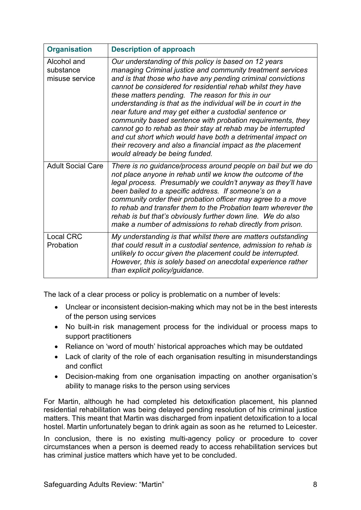| <b>Organisation</b>                        | <b>Description of approach</b>                                                                                                                                                                                                                                                                                                                                                                                                                                                                                                                                                                                                                                                                                                    |
|--------------------------------------------|-----------------------------------------------------------------------------------------------------------------------------------------------------------------------------------------------------------------------------------------------------------------------------------------------------------------------------------------------------------------------------------------------------------------------------------------------------------------------------------------------------------------------------------------------------------------------------------------------------------------------------------------------------------------------------------------------------------------------------------|
| Alcohol and<br>substance<br>misuse service | Our understanding of this policy is based on 12 years<br>managing Criminal justice and community treatment services<br>and is that those who have any pending criminal convictions<br>cannot be considered for residential rehab whilst they have<br>these matters pending. The reason for this in our<br>understanding is that as the individual will be in court in the<br>near future and may get either a custodial sentence or<br>community based sentence with probation requirements, they<br>cannot go to rehab as their stay at rehab may be interrupted<br>and cut short which would have both a detrimental impact on<br>their recovery and also a financial impact as the placement<br>would already be being funded. |
| <b>Adult Social Care</b>                   | There is no guidance/process around people on bail but we do<br>not place anyone in rehab until we know the outcome of the<br>legal process. Presumably we couldn't anyway as they'll have<br>been bailed to a specific address. If someone's on a<br>community order their probation officer may agree to a move<br>to rehab and transfer them to the Probation team wherever the<br>rehab is but that's obviously further down line. We do also<br>make a number of admissions to rehab directly from prison.                                                                                                                                                                                                                   |
| <b>Local CRC</b><br>Probation              | My understanding is that whilst there are matters outstanding<br>that could result in a custodial sentence, admission to rehab is<br>unlikely to occur given the placement could be interrupted.<br>However, this is solely based on anecdotal experience rather<br>than explicit policy/guidance.                                                                                                                                                                                                                                                                                                                                                                                                                                |

The lack of a clear process or policy is problematic on a number of levels:

- Unclear or inconsistent decision-making which may not be in the best interests of the person using services
- No built-in risk management process for the individual or process maps to support practitioners
- Reliance on 'word of mouth' historical approaches which may be outdated
- Lack of clarity of the role of each organisation resulting in misunderstandings and conflict
- Decision-making from one organisation impacting on another organisation's ability to manage risks to the person using services

For Martin, although he had completed his detoxification placement, his planned residential rehabilitation was being delayed pending resolution of his criminal justice matters. This meant that Martin was discharged from inpatient detoxification to a local hostel. Martin unfortunately began to drink again as soon as he returned to Leicester.

In conclusion, there is no existing multi-agency policy or procedure to cover circumstances when a person is deemed ready to access rehabilitation services but has criminal justice matters which have yet to be concluded.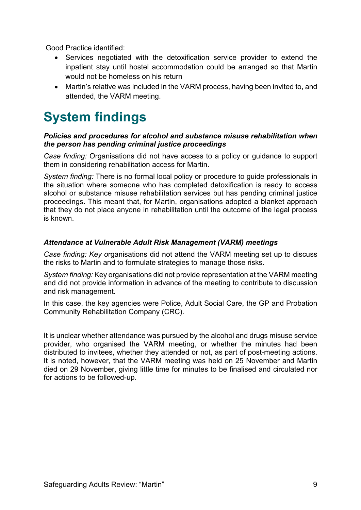Good Practice identified:

- Services negotiated with the detoxification service provider to extend the inpatient stay until hostel accommodation could be arranged so that Martin would not be homeless on his return
- Martin's relative was included in the VARM process, having been invited to, and attended, the VARM meeting.

### <span id="page-8-0"></span>**System findings**

#### *Policies and procedures for alcohol and substance misuse rehabilitation when the person has pending criminal justice proceedings*

*Case finding:* Organisations did not have access to a policy or guidance to support them in considering rehabilitation access for Martin.

*System finding:* There is no formal local policy or procedure to guide professionals in the situation where someone who has completed detoxification is ready to access alcohol or substance misuse rehabilitation services but has pending criminal justice proceedings. This meant that, for Martin, organisations adopted a blanket approach that they do not place anyone in rehabilitation until the outcome of the legal process is known.

#### *Attendance at Vulnerable Adult Risk Management (VARM) meetings*

*Case finding: Key o*rganisations did not attend the VARM meeting set up to discuss the risks to Martin and to formulate strategies to manage those risks.

*System finding:* Key organisations did not provide representation at the VARM meeting and did not provide information in advance of the meeting to contribute to discussion and risk management.

In this case, the key agencies were Police, Adult Social Care, the GP and Probation Community Rehabilitation Company (CRC).

It is unclear whether attendance was pursued by the alcohol and drugs misuse service provider, who organised the VARM meeting, or whether the minutes had been distributed to invitees, whether they attended or not, as part of post-meeting actions. It is noted, however, that the VARM meeting was held on 25 November and Martin died on 29 November, giving little time for minutes to be finalised and circulated nor for actions to be followed-up.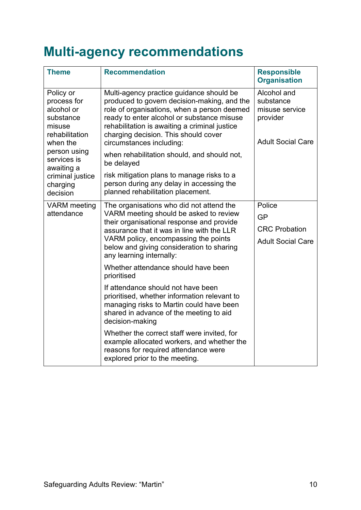### <span id="page-9-0"></span>**Multi-agency recommendations**

| <b>Theme</b>                                                                                                                                                                         | <b>Recommendation</b>                                                                                                                                                                                                                                                                                                                                                  | <b>Responsible</b><br><b>Organisation</b>                                          |
|--------------------------------------------------------------------------------------------------------------------------------------------------------------------------------------|------------------------------------------------------------------------------------------------------------------------------------------------------------------------------------------------------------------------------------------------------------------------------------------------------------------------------------------------------------------------|------------------------------------------------------------------------------------|
| Policy or<br>process for<br>alcohol or<br>substance<br>misuse<br>rehabilitation<br>when the<br>person using<br>services is<br>awaiting a<br>criminal justice<br>charging<br>decision | Multi-agency practice guidance should be<br>produced to govern decision-making, and the<br>role of organisations, when a person deemed<br>ready to enter alcohol or substance misuse<br>rehabilitation is awaiting a criminal justice<br>charging decision. This should cover<br>circumstances including:<br>when rehabilitation should, and should not,<br>be delayed | Alcohol and<br>substance<br>misuse service<br>provider<br><b>Adult Social Care</b> |
|                                                                                                                                                                                      | risk mitigation plans to manage risks to a<br>person during any delay in accessing the<br>planned rehabilitation placement.                                                                                                                                                                                                                                            |                                                                                    |
| <b>VARM</b> meeting<br>attendance                                                                                                                                                    | The organisations who did not attend the<br>VARM meeting should be asked to review<br>their organisational response and provide<br>assurance that it was in line with the LLR<br>VARM policy, encompassing the points<br>below and giving consideration to sharing<br>any learning internally:                                                                         | Police<br>GP<br><b>CRC</b> Probation<br><b>Adult Social Care</b>                   |
|                                                                                                                                                                                      | Whether attendance should have been<br>prioritised<br>If attendance should not have been<br>prioritised, whether information relevant to<br>managing risks to Martin could have been<br>shared in advance of the meeting to aid<br>decision-making<br>Whether the correct staff were invited, for<br>example allocated workers, and whether the                        |                                                                                    |
|                                                                                                                                                                                      | reasons for required attendance were<br>explored prior to the meeting.                                                                                                                                                                                                                                                                                                 |                                                                                    |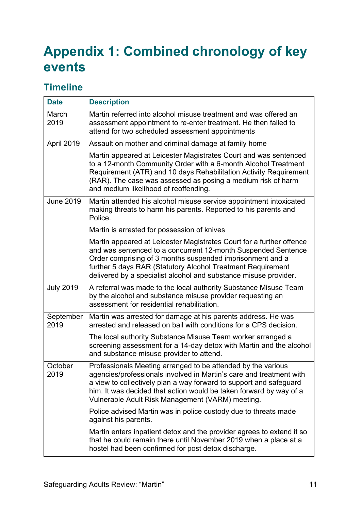### <span id="page-10-0"></span>**Appendix 1: Combined chronology of key events**

#### <span id="page-10-1"></span>**Timeline**

| <b>Date</b>       | <b>Description</b>                                                                                                                                                                                                                                                                                                                    |
|-------------------|---------------------------------------------------------------------------------------------------------------------------------------------------------------------------------------------------------------------------------------------------------------------------------------------------------------------------------------|
| March<br>2019     | Martin referred into alcohol misuse treatment and was offered an<br>assessment appointment to re-enter treatment. He then failed to<br>attend for two scheduled assessment appointments                                                                                                                                               |
| April 2019        | Assault on mother and criminal damage at family home                                                                                                                                                                                                                                                                                  |
|                   | Martin appeared at Leicester Magistrates Court and was sentenced<br>to a 12-month Community Order with a 6-month Alcohol Treatment<br>Requirement (ATR) and 10 days Rehabilitation Activity Requirement<br>(RAR). The case was assessed as posing a medium risk of harm<br>and medium likelihood of reoffending.                      |
| <b>June 2019</b>  | Martin attended his alcohol misuse service appointment intoxicated<br>making threats to harm his parents. Reported to his parents and<br>Police.                                                                                                                                                                                      |
|                   | Martin is arrested for possession of knives                                                                                                                                                                                                                                                                                           |
|                   | Martin appeared at Leicester Magistrates Court for a further offence<br>and was sentenced to a concurrent 12-month Suspended Sentence<br>Order comprising of 3 months suspended imprisonment and a<br>further 5 days RAR (Statutory Alcohol Treatment Requirement<br>delivered by a specialist alcohol and substance misuse provider. |
| <b>July 2019</b>  | A referral was made to the local authority Substance Misuse Team<br>by the alcohol and substance misuse provider requesting an<br>assessment for residential rehabilitation.                                                                                                                                                          |
| September<br>2019 | Martin was arrested for damage at his parents address. He was<br>arrested and released on bail with conditions for a CPS decision.                                                                                                                                                                                                    |
|                   | The local authority Substance Misuse Team worker arranged a<br>screening assessment for a 14-day detox with Martin and the alcohol<br>and substance misuse provider to attend.                                                                                                                                                        |
| October<br>2019   | Professionals Meeting arranged to be attended by the various<br>agencies/professionals involved in Martin's care and treatment with<br>a view to collectively plan a way forward to support and safeguard<br>him. It was decided that action would be taken forward by way of a<br>Vulnerable Adult Risk Management (VARM) meeting.   |
|                   | Police advised Martin was in police custody due to threats made<br>against his parents.                                                                                                                                                                                                                                               |
|                   | Martin enters inpatient detox and the provider agrees to extend it so<br>that he could remain there until November 2019 when a place at a<br>hostel had been confirmed for post detox discharge.                                                                                                                                      |